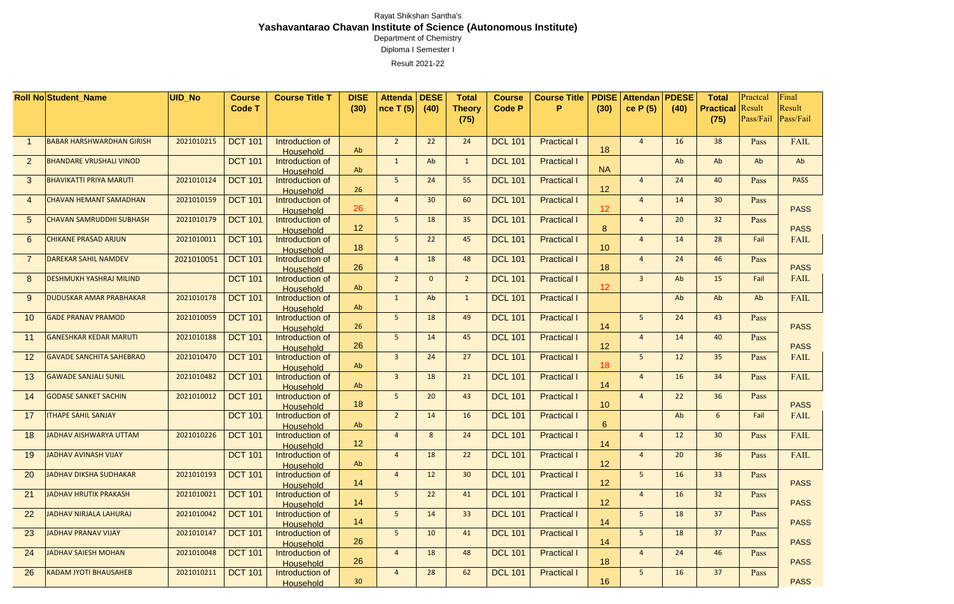|                 | <b>Roll No Student Name</b>      | <b>UID_No</b> | <b>Course</b>  | <b>Course Title T</b>               | <b>DISE</b>     | <b>Attenda</b> | <b>DESE</b>  | <b>Total</b>    | <b>Course</b>  | <b>Course Title</b> | <b>PDISE</b>     | <b>Attendan</b> | <b>PDESE</b> | <b>Total</b>     | Practcal  | Final       |
|-----------------|----------------------------------|---------------|----------------|-------------------------------------|-----------------|----------------|--------------|-----------------|----------------|---------------------|------------------|-----------------|--------------|------------------|-----------|-------------|
|                 |                                  |               | <b>Code T</b>  |                                     | (30)            | nce T (5)      | (40)         | <b>Theory</b>   | <b>Code P</b>  | P                   | (30)             | ce $P(5)$       | (40)         | <b>Practical</b> | Result    | Result      |
|                 |                                  |               |                |                                     |                 |                |              | (75)            |                |                     |                  |                 |              | (75)             | Pass/Fail | Pass/Fail   |
|                 |                                  |               |                |                                     |                 |                |              |                 |                |                     |                  |                 |              |                  |           |             |
|                 | <b>BABAR HARSHWARDHAN GIRISH</b> | 2021010215    | <b>DCT 101</b> | Introduction of                     |                 | 2 <sup>2</sup> | 22           | 24              | <b>DCL 101</b> | <b>Practical I</b>  |                  | $\overline{4}$  | 16           | 38               | Pass      | <b>FAIL</b> |
|                 |                                  |               |                | <b>Household</b>                    | Ab              |                |              |                 |                |                     | 18               |                 |              |                  |           |             |
| $\overline{2}$  | <b>BHANDARE VRUSHALI VINOD</b>   |               | <b>DCT 101</b> | Introduction of                     |                 | $\mathbf{1}$   | Ab           | $\mathbf{1}$    | <b>DCL 101</b> | <b>Practical I</b>  |                  |                 | Ab           | Ab               | Ab        | Ab          |
|                 |                                  |               |                | Household                           | Ab              |                |              |                 |                |                     | <b>NA</b>        |                 |              |                  |           |             |
| 3               | <b>BHAVIKATTI PRIYA MARUTI</b>   | 2021010124    | <b>DCT 101</b> | Introduction of                     | 26              | 5 <sup>1</sup> | 24           | 55              | <b>DCL 101</b> | <b>Practical I</b>  | 12               | $\overline{4}$  | 24           | 40               | Pass      | <b>PASS</b> |
| $\overline{4}$  | <b>CHAVAN HEMANT SAMADHAN</b>    | 2021010159    | <b>DCT 101</b> | <b>Household</b><br>Introduction of |                 | $\overline{4}$ | 30           | 60              | <b>DCL 101</b> | <b>Practical I</b>  |                  | $\overline{4}$  | 14           | 30 <sub>2</sub>  | Pass      |             |
|                 |                                  |               |                | <b>Household</b>                    | 26              |                |              |                 |                |                     | 12               |                 |              |                  |           | <b>PASS</b> |
| $5\overline{)}$ | <b>CHAVAN SAMRUDDHI SUBHASH</b>  | 2021010179    | <b>DCT 101</b> | Introduction of                     |                 | 5 <sub>1</sub> | 18           | 35 <sub>2</sub> | <b>DCL 101</b> | <b>Practical I</b>  |                  | $\overline{4}$  | 20           | 32               | Pass      |             |
|                 |                                  |               |                | Household                           | 12              |                |              |                 |                |                     | 8                |                 |              |                  |           | <b>PASS</b> |
| 6               | <b>CHIKANE PRASAD ARJUN</b>      | 2021010011    | <b>DCT 101</b> | Introduction of                     |                 | 5 <sub>1</sub> | 22           | 45              | <b>DCL 101</b> | <b>Practical I</b>  |                  | $\overline{4}$  | 14           | 28               | Fail      | <b>FAIL</b> |
|                 |                                  |               |                | <b>Household</b>                    | 18              |                |              |                 |                |                     | 10               |                 |              |                  |           |             |
| $\overline{7}$  | <b>DAREKAR SAHIL NAMDEV</b>      | 2021010051    | <b>DCT 101</b> | Introduction of                     |                 | $\overline{4}$ | 18           | 48              | <b>DCL 101</b> | <b>Practical I</b>  |                  | $\overline{A}$  | 24           | 46               | Pass      |             |
|                 |                                  |               |                | <b>Household</b>                    | 26              |                |              |                 |                |                     | 18               |                 |              |                  |           | <b>PASS</b> |
| 8               | <b>DESHMUKH YASHRAJ MILIND</b>   |               | <b>DCT 101</b> | Introduction of                     | Ab              | $2^{\circ}$    | $\mathbf{0}$ | $\overline{2}$  | <b>DCL 101</b> | <b>Practical I</b>  | 12               | $\overline{3}$  | Ab           | 15               | Fail      | <b>FAIL</b> |
| 9               | <b>DUDUSKAR AMAR PRABHAKAR</b>   | 2021010178    | <b>DCT 101</b> | <b>Household</b><br>Introduction of |                 | $\mathbf{1}$   | Ab           | $\mathbf{1}$    | <b>DCL 101</b> | <b>Practical I</b>  |                  |                 | Ab           | Ab               | Ab        | <b>FAIL</b> |
|                 |                                  |               |                | Household                           | Ab              |                |              |                 |                |                     |                  |                 |              |                  |           |             |
| 10              | <b>GADE PRANAV PRAMOD</b>        | 2021010059    | <b>DCT 101</b> | Introduction of                     |                 | 5 <sup>1</sup> | 18           | 49              | <b>DCL 101</b> | <b>Practical I</b>  |                  | 5 <sup>1</sup>  | 24           | 43               | Pass      |             |
|                 |                                  |               |                | <b>Household</b>                    | 26              |                |              |                 |                |                     | 14               |                 |              |                  |           | <b>PASS</b> |
| 11              | <b>GANESHKAR KEDAR MARUTI</b>    | 2021010188    | <b>DCT 101</b> | Introduction of                     |                 | 5 <sup>5</sup> | 14           | 45              | <b>DCL 101</b> | <b>Practical I</b>  |                  | $\overline{4}$  | 14           | 40               | Pass      |             |
|                 |                                  |               |                | <b>Household</b>                    | 26              |                |              |                 |                |                     | 12               |                 |              |                  |           | <b>PASS</b> |
| 12              | <b>GAVADE SANCHITA SAHEBRAO</b>  | 2021010470    | <b>DCT 101</b> | Introduction of                     | Ab              | $\mathbf{3}$   | 24           | 27              | <b>DCL 101</b> | <b>Practical I</b>  | 18               | 5               | 12           | 35               | Pass      | <b>FAIL</b> |
| 13              | <b>GAWADE SANJALI SUNIL</b>      | 2021010482    | <b>DCT 101</b> | <b>Household</b><br>Introduction of |                 | $\overline{3}$ | 18           | 21              | <b>DCL 101</b> | <b>Practical I</b>  |                  | $\overline{4}$  | 16           | 34               | Pass      | <b>FAIL</b> |
|                 |                                  |               |                | <b>Household</b>                    | Ab              |                |              |                 |                |                     | 14               |                 |              |                  |           |             |
| 14              | <b>GODASE SANKET SACHIN</b>      | 2021010012    | <b>DCT 101</b> | Introduction of                     |                 | 5              | 20           | 43              | <b>DCL 101</b> | <b>Practical I</b>  |                  | $\overline{A}$  | 22           | 36               | Pass      |             |
|                 |                                  |               |                | <b>Household</b>                    | 18              |                |              |                 |                |                     | 10               |                 |              |                  |           | <b>PASS</b> |
| 17              | <b>ITHAPE SAHIL SANJAY</b>       |               | <b>DCT 101</b> | Introduction of                     |                 | $\overline{2}$ | 14           | 16              | <b>DCL 101</b> | <b>Practical I</b>  |                  |                 | Ab           | 6                | Fail      | <b>FAIL</b> |
|                 |                                  |               |                | <b>Household</b>                    | Ab              |                |              |                 |                |                     | $6 \overline{6}$ |                 |              |                  |           |             |
| 18              | JADHAV AISHWARYA UTTAM           | 2021010226    | <b>DCT 101</b> | Introduction of                     | 12 <sup>2</sup> | $\overline{4}$ | 8            | 24              | <b>DCL 101</b> | <b>Practical I</b>  |                  | $\overline{4}$  | 12           | 30 <sub>2</sub>  | Pass      | <b>FAIL</b> |
| 19              | JADHAV AVINASH VIJAY             |               | <b>DCT 101</b> | <b>Household</b><br>Introduction of |                 | $\overline{4}$ | 18           | 22              | <b>DCL 101</b> | <b>Practical I</b>  | 14               | $\overline{4}$  | 20           | 36               | Pass      | FAIL        |
|                 |                                  |               |                | <b>Household</b>                    | Ab              |                |              |                 |                |                     | 12               |                 |              |                  |           |             |
| 20              | JADHAV DIKSHA SUDHAKAR           | 2021010193    | <b>DCT 101</b> | Introduction of                     |                 | $\overline{4}$ | 12           | 30 <sup>°</sup> | <b>DCL 101</b> | <b>Practical I</b>  |                  | 5 <sub>1</sub>  | 16           | 33               | Pass      |             |
|                 |                                  |               |                | <b>Household</b>                    | 14              |                |              |                 |                |                     | 12               |                 |              |                  |           | <b>PASS</b> |
| 21              | JADHAV HRUTIK PRAKASH            | 2021010021    | <b>DCT 101</b> | Introduction of                     |                 | 5 <sub>1</sub> | 22           | 41              | <b>DCL 101</b> | <b>Practical I</b>  |                  | $\overline{4}$  | 16           | 32               | Pass      |             |
|                 |                                  |               |                | <b>Household</b>                    | 14              |                |              |                 |                |                     | 12               |                 |              |                  |           | <b>PASS</b> |
| 22              | JADHAV NIRJALA LAHURAJ           | 2021010042    | <b>DCT 101</b> | Introduction of                     |                 | 5 <sub>1</sub> | 14           | 33              | <b>DCL 101</b> | <b>Practical I</b>  |                  | 5 <sub>1</sub>  | 18           | 37               | Pass      |             |
|                 |                                  |               |                | <b>Household</b>                    | 14              |                |              |                 |                |                     | 14               |                 |              |                  |           | <b>PASS</b> |
| 23              | JADHAV PRANAV VIJAY              | 2021010147    | <b>DCT 101</b> | Introduction of                     | 26              | 5 <sub>1</sub> | 10           | 41              | <b>DCL 101</b> | <b>Practical I</b>  | 14               | 5 <sup>5</sup>  | 18           | 37               | Pass      | <b>PASS</b> |
| 24              | JADHAV SAIESH MOHAN              | 2021010048    | <b>DCT 101</b> | <b>Household</b><br>Introduction of |                 | $\overline{4}$ | 18           | 48              | <b>DCL 101</b> | <b>Practical I</b>  |                  | $\overline{4}$  | 24           | 46               | Pass      |             |
|                 |                                  |               |                | <b>Household</b>                    | 26              |                |              |                 |                |                     | 18               |                 |              |                  |           | <b>PASS</b> |
| 26              | <b>KADAM JYOTI BHAUSAHEB</b>     | 2021010211    | <b>DCT 101</b> | Introduction of                     |                 | $\overline{4}$ | 28           | 62              | <b>DCL 101</b> | <b>Practical I</b>  |                  | 5 <sup>5</sup>  | 16           | 37               | Pass      |             |
|                 |                                  |               |                | <b>Household</b>                    | 30 <sup>°</sup> |                |              |                 |                |                     | 16               |                 |              |                  |           | <b>PASS</b> |

Diploma I Semester I

Result 2021-22

## Department of Chemistry Rayat Shikshan Santha's **Yashavantarao Chavan Institute of Science (Autonomous Institute)**